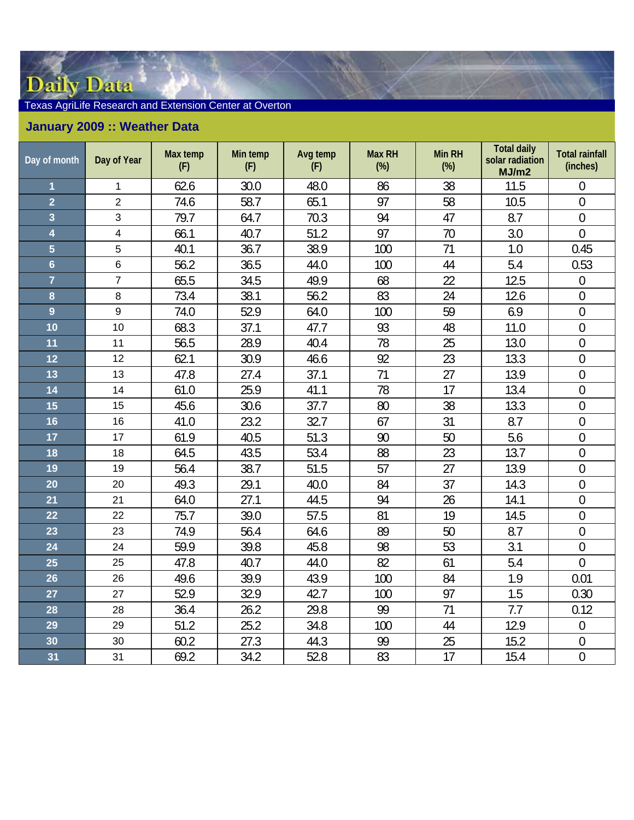## Daily Data

## Texas AgriLife Research and Extension Center at Overton

## **January 2009 :: Weather Data**

| Day of month            | Day of Year             | Max temp<br>(F) | Min temp<br>(F) | Avg temp<br>(F) | <b>Max RH</b><br>$(\%)$ | <b>Min RH</b><br>(%) | <b>Total daily</b><br>solar radiation<br>MJ/m2 | <b>Total rainfall</b><br>(inches) |
|-------------------------|-------------------------|-----------------|-----------------|-----------------|-------------------------|----------------------|------------------------------------------------|-----------------------------------|
| $\overline{1}$          | $\mathbf 1$             | 62.6            | 30.0            | 48.0            | 86                      | 38                   | 11.5                                           | $\overline{0}$                    |
| $\overline{2}$          | $\overline{2}$          | 74.6            | 58.7            | 65.1            | 97                      | 58                   | 10.5                                           | $\boldsymbol{0}$                  |
| $\overline{\mathbf{3}}$ | $\mathbf{3}$            | 79.7            | 64.7            | 70.3            | 94                      | 47                   | 8.7                                            | $\overline{0}$                    |
| $\overline{\mathbf{4}}$ | $\overline{\mathbf{4}}$ | 66.1            | 40.7            | 51.2            | 97                      | 70                   | 3.0                                            | $\mathbf 0$                       |
| $\overline{5}$          | 5                       | 40.1            | 36.7            | 38.9            | 100                     | 71                   | 1.0                                            | 0.45                              |
| $6\phantom{a}$          | $\,6$                   | 56.2            | 36.5            | 44.0            | 100                     | 44                   | 5.4                                            | 0.53                              |
| $\overline{7}$          | $\overline{7}$          | 65.5            | 34.5            | 49.9            | 68                      | 22                   | 12.5                                           | $\boldsymbol{0}$                  |
| 8                       | $\bf 8$                 | 73.4            | 38.1            | 56.2            | 83                      | 24                   | 12.6                                           | $\boldsymbol{0}$                  |
| $\overline{9}$          | 9                       | 74.0            | 52.9            | 64.0            | 100                     | 59                   | 6.9                                            | $\boldsymbol{0}$                  |
| 10                      | 10                      | 68.3            | 37.1            | 47.7            | 93                      | 48                   | 11.0                                           | $\overline{0}$                    |
| 11                      | 11                      | 56.5            | 28.9            | 40.4            | 78                      | 25                   | 13.0                                           | $\overline{0}$                    |
| 12                      | 12                      | 62.1            | 30.9            | 46.6            | 92                      | 23                   | 13.3                                           | $\overline{0}$                    |
| 13                      | 13                      | 47.8            | 27.4            | 37.1            | 71                      | 27                   | 13.9                                           | $\mathbf{0}$                      |
| 14                      | 14                      | 61.0            | 25.9            | 41.1            | 78                      | 17                   | 13.4                                           | $\overline{0}$                    |
| 15                      | 15                      | 45.6            | 30.6            | 37.7            | 80                      | 38                   | 13.3                                           | $\boldsymbol{0}$                  |
| 16                      | 16                      | 41.0            | 23.2            | 32.7            | 67                      | 31                   | 8.7                                            | $\boldsymbol{0}$                  |
| 17                      | 17                      | 61.9            | 40.5            | 51.3            | 90                      | 50                   | 5.6                                            | $\overline{0}$                    |
| 18                      | 18                      | 64.5            | 43.5            | 53.4            | 88                      | 23                   | 13.7                                           | $\overline{0}$                    |
| 19                      | 19                      | 56.4            | 38.7            | 51.5            | 57                      | 27                   | 13.9                                           | $\boldsymbol{0}$                  |
| 20                      | 20                      | 49.3            | 29.1            | 40.0            | 84                      | 37                   | 14.3                                           | $\mathbf 0$                       |
| 21                      | 21                      | 64.0            | 27.1            | 44.5            | 94                      | 26                   | 14.1                                           | $\boldsymbol{0}$                  |
| 22                      | 22                      | 75.7            | 39.0            | 57.5            | 81                      | 19                   | 14.5                                           | $\overline{0}$                    |
| 23                      | 23                      | 74.9            | 56.4            | 64.6            | 89                      | 50                   | 8.7                                            | $\boldsymbol{0}$                  |
| 24                      | 24                      | 59.9            | 39.8            | 45.8            | 98                      | 53                   | 3.1                                            | $\overline{0}$                    |
| 25                      | 25                      | 47.8            | 40.7            | 44.0            | 82                      | 61                   | 5.4                                            | $\mathbf 0$                       |
| 26                      | 26                      | 49.6            | 39.9            | 43.9            | 100                     | 84                   | 1.9                                            | 0.01                              |
| 27                      | 27                      | 52.9            | 32.9            | 42.7            | 100                     | 97                   | 1.5                                            | 0.30                              |
| 28                      | 28                      | 36.4            | 26.2            | 29.8            | 99                      | 71                   | 7.7                                            | 0.12                              |
| 29                      | 29                      | 51.2            | 25.2            | 34.8            | 100                     | 44                   | 12.9                                           | $\theta$                          |
| 30                      | 30                      | 60.2            | 27.3            | 44.3            | 99                      | 25                   | 15.2                                           | $\boldsymbol{0}$                  |
| 31                      | 31                      | 69.2            | 34.2            | 52.8            | 83                      | 17                   | 15.4                                           | $\mathbf 0$                       |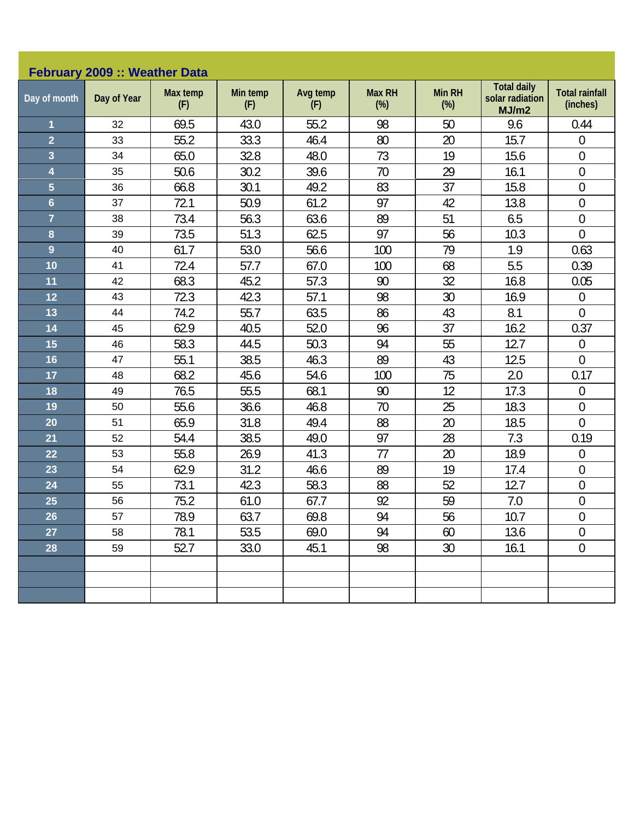| February 2009 :: Weather Data |             |                 |                 |                 |                         |                         |                                                |                                   |  |  |
|-------------------------------|-------------|-----------------|-----------------|-----------------|-------------------------|-------------------------|------------------------------------------------|-----------------------------------|--|--|
| Day of month                  | Day of Year | Max temp<br>(F) | Min temp<br>(F) | Avg temp<br>(F) | <b>Max RH</b><br>$(\%)$ | <b>Min RH</b><br>$(\%)$ | <b>Total daily</b><br>solar radiation<br>MJ/m2 | <b>Total rainfall</b><br>(inches) |  |  |
| 1                             | 32          | 69.5            | 43.0            | 55.2            | 98                      | 50                      | 9.6                                            | 0.44                              |  |  |
| $\overline{2}$                | 33          | 55.2            | 33.3            | 46.4            | 80                      | 20                      | 15.7                                           | $\boldsymbol{0}$                  |  |  |
| 3                             | 34          | 65.0            | 32.8            | 48.0            | 73                      | 19                      | 15.6                                           | $\boldsymbol{0}$                  |  |  |
| 4                             | 35          | 50.6            | 30.2            | 39.6            | 70                      | 29                      | 16.1                                           | $\boldsymbol{0}$                  |  |  |
| 5                             | 36          | 66.8            | 30.1            | 49.2            | 83                      | 37                      | 15.8                                           | $\mathbf 0$                       |  |  |
| $6\phantom{a}$                | 37          | 72.1            | 50.9            | 61.2            | 97                      | 42                      | 13.8                                           | $\mathbf 0$                       |  |  |
| $\overline{7}$                | 38          | 73.4            | 56.3            | 63.6            | 89                      | 51                      | 6.5                                            | $\boldsymbol{0}$                  |  |  |
| 8                             | 39          | 73.5            | 51.3            | 62.5            | 97                      | 56                      | 10.3                                           | $\mathbf 0$                       |  |  |
| $\overline{9}$                | 40          | 61.7            | 53.0            | 56.6            | 100                     | 79                      | 1.9                                            | 0.63                              |  |  |
| 10                            | 41          | 72.4            | 57.7            | 67.0            | 100                     | 68                      | 5.5                                            | 0.39                              |  |  |
| 11                            | 42          | 68.3            | 45.2            | 57.3            | 90                      | 32                      | 16.8                                           | 0.05                              |  |  |
| 12                            | 43          | 72.3            | 42.3            | 57.1            | 98                      | 30                      | 16.9                                           | $\boldsymbol{0}$                  |  |  |
| 13                            | 44          | 74.2            | 55.7            | 63.5            | 86                      | 43                      | 8.1                                            | $\mathbf{0}$                      |  |  |
| 14                            | 45          | 62.9            | 40.5            | 52.0            | 96                      | 37                      | 16.2                                           | 0.37                              |  |  |
| 15                            | 46          | 58.3            | 44.5            | 50.3            | 94                      | 55                      | 12.7                                           | $\boldsymbol{0}$                  |  |  |
| 16                            | 47          | 55.1            | 38.5            | 46.3            | 89                      | 43                      | 12.5                                           | $\overline{0}$                    |  |  |
| 17                            | 48          | 68.2            | 45.6            | 54.6            | 100                     | 75                      | 2.0                                            | 0.17                              |  |  |
| 18                            | 49          | 76.5            | 55.5            | 68.1            | 90                      | 12                      | 17.3                                           | $\boldsymbol{0}$                  |  |  |
| 19                            | 50          | 55.6            | 36.6            | 46.8            | 70                      | 25                      | 18.3                                           | $\boldsymbol{0}$                  |  |  |
| 20                            | 51          | 65.9            | 31.8            | 49.4            | 88                      | 20                      | 18.5                                           | $\overline{0}$                    |  |  |
| 21                            | 52          | 54.4            | 38.5            | 49.0            | 97                      | 28                      | 7.3                                            | 0.19                              |  |  |
| 22                            | 53          | 55.8            | 26.9            | 41.3            | 77                      | 20                      | 18.9                                           | $\mathbf 0$                       |  |  |
| 23                            | 54          | 62.9            | 31.2            | 46.6            | 89                      | 19                      | 17.4                                           | $\boldsymbol{0}$                  |  |  |
| 24                            | 55          | 73.1            | 42.3            | 58.3            | 88                      | 52                      | 12.7                                           | $\mathbf 0$                       |  |  |
| 25                            | 56          | 75.2            | 61.0            | 67.7            | 92                      | 59                      | 7.0                                            | $\boldsymbol{0}$                  |  |  |
| 26                            | 57          | 78.9            | 63.7            | 69.8            | 94                      | 56                      | 10.7                                           | $\overline{0}$                    |  |  |
| 27                            | 58          | 78.1            | 53.5            | 69.0            | 94                      | 60                      | 13.6                                           | $\theta$                          |  |  |
| 28                            | 59          | 52.7            | 33.0            | 45.1            | 98                      | $30\,$                  | 16.1                                           | $\boldsymbol{0}$                  |  |  |
|                               |             |                 |                 |                 |                         |                         |                                                |                                   |  |  |
|                               |             |                 |                 |                 |                         |                         |                                                |                                   |  |  |
|                               |             |                 |                 |                 |                         |                         |                                                |                                   |  |  |
|                               |             |                 |                 |                 |                         |                         |                                                |                                   |  |  |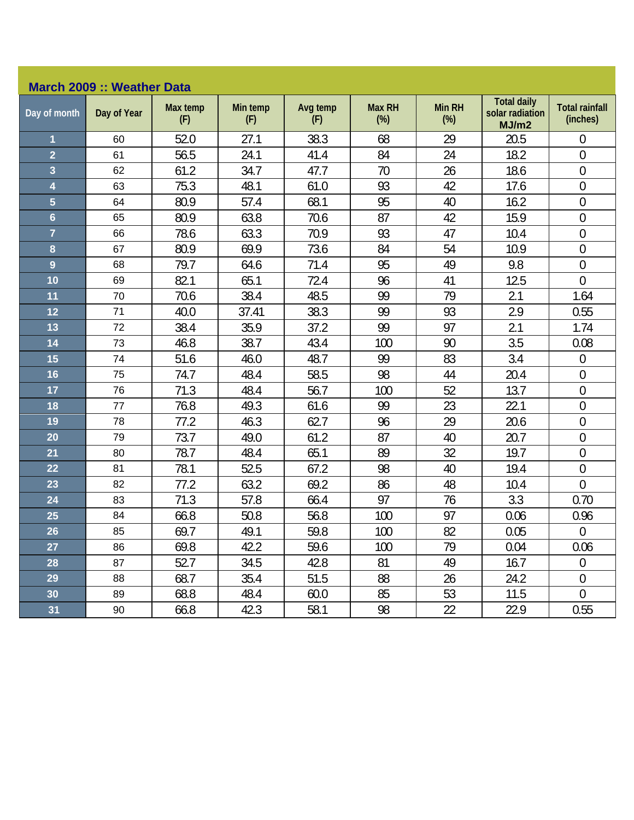## **March 2009 :: Weather Data**

| Day of month            | Day of Year | Max temp<br>(F) | Min temp<br>(F) | Avg temp<br>(F) | <b>Max RH</b><br>$(\%)$ | <b>Min RH</b><br>$(\%)$ | <b>Total daily</b><br>solar radiation<br>MJ/m2 | <b>Total rainfall</b><br>(inches) |
|-------------------------|-------------|-----------------|-----------------|-----------------|-------------------------|-------------------------|------------------------------------------------|-----------------------------------|
| 1                       | 60          | 52.0            | 27.1            | 38.3            | 68                      | 29                      | 20.5                                           | $\mathbf 0$                       |
| $\overline{2}$          | 61          | 56.5            | 24.1            | 41.4            | 84                      | 24                      | 18.2                                           | $\boldsymbol{0}$                  |
| $\overline{\mathbf{3}}$ | 62          | 61.2            | 34.7            | 47.7            | 70                      | 26                      | 18.6                                           | $\mathbf 0$                       |
| $\overline{\mathbf{4}}$ | 63          | 75.3            | 48.1            | 61.0            | 93                      | 42                      | 17.6                                           | $\boldsymbol{0}$                  |
| $\overline{5}$          | 64          | 80.9            | 57.4            | 68.1            | 95                      | 40                      | 16.2                                           | $\mathbf 0$                       |
| $6\phantom{a}$          | 65          | 80.9            | 63.8            | 70.6            | 87                      | 42                      | 15.9                                           | $\boldsymbol{0}$                  |
| $\overline{7}$          | 66          | 78.6            | 63.3            | 70.9            | 93                      | 47                      | 10.4                                           | $\boldsymbol{0}$                  |
| 8                       | 67          | 80.9            | 69.9            | 73.6            | 84                      | 54                      | 10.9                                           | $\boldsymbol{0}$                  |
| $\overline{9}$          | 68          | 79.7            | 64.6            | 71.4            | 95                      | 49                      | 9.8                                            | $\mathbf 0$                       |
| 10                      | 69          | 82.1            | 65.1            | 72.4            | 96                      | 41                      | 12.5                                           | $\overline{0}$                    |
| 11                      | 70          | 70.6            | 38.4            | 48.5            | 99                      | 79                      | 2.1                                            | 1.64                              |
| 12                      | 71          | 40.0            | 37.41           | 38.3            | 99                      | 93                      | 2.9                                            | 0.55                              |
| 13                      | 72          | 38.4            | 35.9            | 37.2            | 99                      | 97                      | 2.1                                            | 1.74                              |
| 14                      | 73          | 46.8            | 38.7            | 43.4            | 100                     | 90                      | 3.5                                            | 0.08                              |
| 15                      | 74          | 51.6            | 46.0            | 48.7            | 99                      | 83                      | 3.4                                            | $\boldsymbol{0}$                  |
| 16                      | 75          | 74.7            | 48.4            | 58.5            | 98                      | 44                      | 20.4                                           | $\boldsymbol{0}$                  |
| 17                      | 76          | 71.3            | 48.4            | 56.7            | 100                     | 52                      | 13.7                                           | $\boldsymbol{0}$                  |
| 18                      | 77          | 76.8            | 49.3            | 61.6            | 99                      | 23                      | 22.1                                           | $\overline{0}$                    |
| 19                      | 78          | 77.2            | 46.3            | 62.7            | 96                      | 29                      | 20.6                                           | $\boldsymbol{0}$                  |
| 20                      | 79          | 73.7            | 49.0            | 61.2            | 87                      | 40                      | 20.7                                           | $\boldsymbol{0}$                  |
| 21                      | 80          | 78.7            | 48.4            | 65.1            | 89                      | 32                      | 19.7                                           | $\mathbf 0$                       |
| 22                      | 81          | 78.1            | 52.5            | 67.2            | 98                      | 40                      | 19.4                                           | $\mathbf 0$                       |
| 23                      | 82          | 77.2            | 63.2            | 69.2            | 86                      | 48                      | 10.4                                           | $\overline{0}$                    |
| 24                      | 83          | 71.3            | 57.8            | 66.4            | 97                      | 76                      | 3.3                                            | 0.70                              |
| 25                      | 84          | 66.8            | 50.8            | 56.8            | 100                     | 97                      | 0.06                                           | 0.96                              |
| 26                      | 85          | 69.7            | 49.1            | 59.8            | 100                     | 82                      | 0.05                                           | $\overline{0}$                    |
| 27                      | 86          | 69.8            | 42.2            | 59.6            | 100                     | 79                      | 0.04                                           | 0.06                              |
| 28                      | 87          | 52.7            | 34.5            | 42.8            | 81                      | 49                      | 16.7                                           | $\boldsymbol{0}$                  |
| 29                      | 88          | 68.7            | 35.4            | 51.5            | 88                      | 26                      | 24.2                                           | $\boldsymbol{0}$                  |
| 30                      | 89          | 68.8            | 48.4            | 60.0            | 85                      | 53                      | 11.5                                           | $\overline{0}$                    |
| 31                      | 90          | 66.8            | 42.3            | 58.1            | 98                      | 22                      | 22.9                                           | 0.55                              |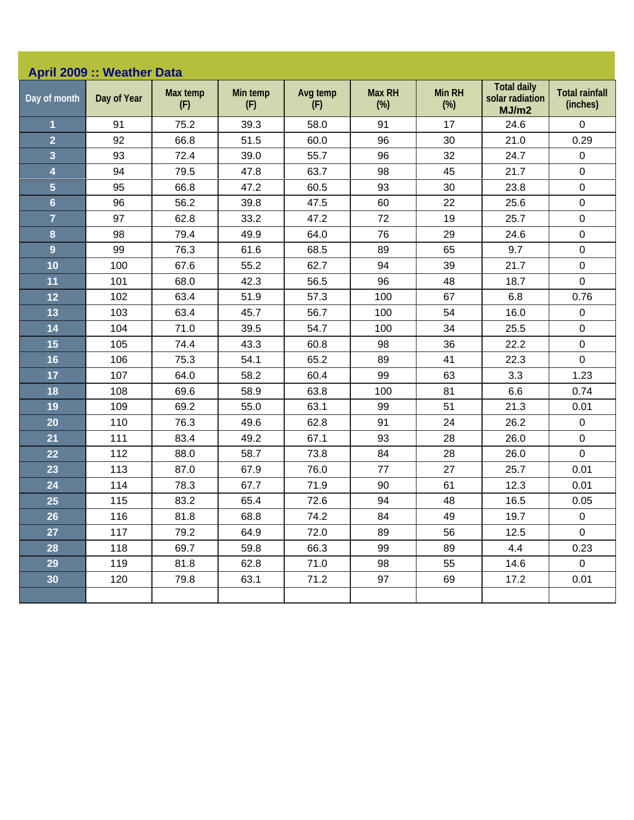| <b>April 2009 :: Weather Data</b> |             |                 |                 |                 |                         |                         |                                                |                                   |  |  |
|-----------------------------------|-------------|-----------------|-----------------|-----------------|-------------------------|-------------------------|------------------------------------------------|-----------------------------------|--|--|
| Day of month                      | Day of Year | Max temp<br>(F) | Min temp<br>(F) | Avg temp<br>(F) | <b>Max RH</b><br>$(\%)$ | <b>Min RH</b><br>$(\%)$ | <b>Total daily</b><br>solar radiation<br>MJ/m2 | <b>Total rainfall</b><br>(inches) |  |  |
| 1                                 | 91          | 75.2            | 39.3            | 58.0            | 91                      | 17                      | 24.6                                           | $\pmb{0}$                         |  |  |
| $\overline{2}$                    | 92          | 66.8            | 51.5            | 60.0            | 96                      | 30                      | 21.0                                           | 0.29                              |  |  |
| 3                                 | 93          | 72.4            | 39.0            | 55.7            | 96                      | 32                      | 24.7                                           | $\pmb{0}$                         |  |  |
| 4                                 | 94          | 79.5            | 47.8            | 63.7            | 98                      | 45                      | 21.7                                           | $\mathsf 0$                       |  |  |
| 5                                 | 95          | 66.8            | 47.2            | 60.5            | 93                      | 30                      | 23.8                                           | $\pmb{0}$                         |  |  |
| $6\phantom{a}$                    | 96          | 56.2            | 39.8            | 47.5            | 60                      | 22                      | 25.6                                           | $\mathsf 0$                       |  |  |
| $\overline{7}$                    | 97          | 62.8            | 33.2            | 47.2            | 72                      | 19                      | 25.7                                           | $\pmb{0}$                         |  |  |
| 8                                 | 98          | 79.4            | 49.9            | 64.0            | 76                      | 29                      | 24.6                                           | 0                                 |  |  |
| $\overline{9}$                    | 99          | 76.3            | 61.6            | 68.5            | 89                      | 65                      | 9.7                                            | $\pmb{0}$                         |  |  |
| 10                                | 100         | 67.6            | 55.2            | 62.7            | 94                      | 39                      | 21.7                                           | $\pmb{0}$                         |  |  |
| 11                                | 101         | 68.0            | 42.3            | 56.5            | 96                      | 48                      | 18.7                                           | $\mathbf 0$                       |  |  |
| 12                                | 102         | 63.4            | 51.9            | 57.3            | 100                     | 67                      | 6.8                                            | 0.76                              |  |  |
| 13                                | 103         | 63.4            | 45.7            | 56.7            | 100                     | 54                      | 16.0                                           | 0                                 |  |  |
| 14                                | 104         | 71.0            | 39.5            | 54.7            | 100                     | 34                      | 25.5                                           | $\mathsf 0$                       |  |  |
| 15                                | 105         | 74.4            | 43.3            | 60.8            | 98                      | 36                      | 22.2                                           | $\pmb{0}$                         |  |  |
| 16                                | 106         | 75.3            | 54.1            | 65.2            | 89                      | 41                      | 22.3                                           | $\mathbf 0$                       |  |  |
| 17                                | 107         | 64.0            | 58.2            | 60.4            | 99                      | 63                      | 3.3                                            | 1.23                              |  |  |
| 18                                | 108         | 69.6            | 58.9            | 63.8            | 100                     | 81                      | 6.6                                            | 0.74                              |  |  |
| 19                                | 109         | 69.2            | 55.0            | 63.1            | 99                      | 51                      | 21.3                                           | 0.01                              |  |  |
| 20                                | 110         | 76.3            | 49.6            | 62.8            | 91                      | 24                      | 26.2                                           | $\pmb{0}$                         |  |  |
| 21                                | 111         | 83.4            | 49.2            | 67.1            | 93                      | 28                      | 26.0                                           | $\mathsf 0$                       |  |  |
| 22                                | 112         | 88.0            | 58.7            | 73.8            | 84                      | 28                      | 26.0                                           | $\pmb{0}$                         |  |  |
| 23                                | 113         | 87.0            | 67.9            | 76.0            | 77                      | 27                      | 25.7                                           | 0.01                              |  |  |
| 24                                | 114         | 78.3            | 67.7            | 71.9            | 90                      | 61                      | 12.3                                           | 0.01                              |  |  |
| 25                                | 115         | 83.2            | 65.4            | 72.6            | 94                      | 48                      | 16.5                                           | 0.05                              |  |  |
| 26                                | 116         | 81.8            | 68.8            | 74.2            | 84                      | 49                      | 19.7                                           | $\pmb{0}$                         |  |  |
| 27                                | 117         | 79.2            | 64.9            | 72.0            | 89                      | 56                      | 12.5                                           | $\mathbf 0$                       |  |  |
| 28                                | 118         | 69.7            | 59.8            | 66.3            | 99                      | 89                      | 4.4                                            | 0.23                              |  |  |
| 29                                | 119         | 81.8            | 62.8            | 71.0            | 98                      | 55                      | 14.6                                           | $\overline{0}$                    |  |  |
| 30                                | 120         | 79.8            | 63.1            | 71.2            | 97                      | 69                      | 17.2                                           | 0.01                              |  |  |
|                                   |             |                 |                 |                 |                         |                         |                                                |                                   |  |  |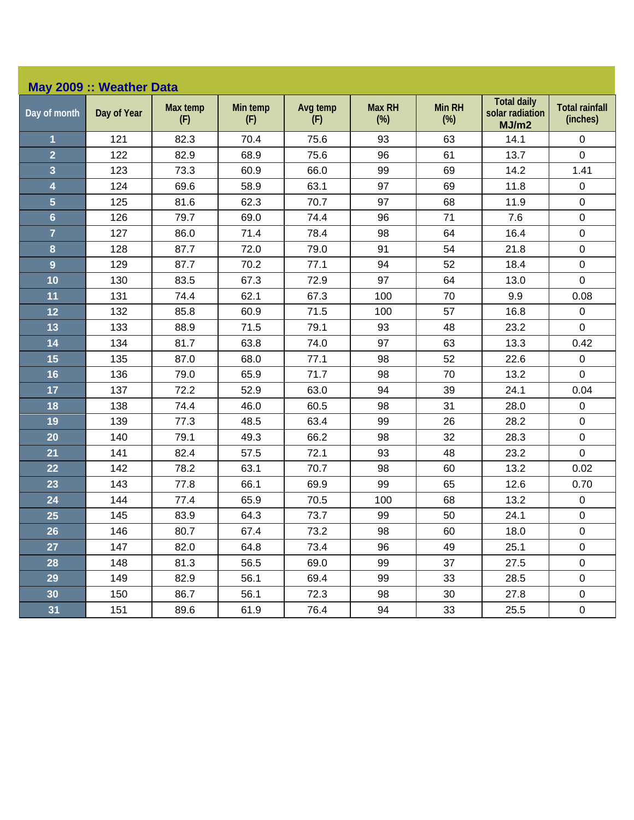| May 2009 :: Weather Data |             |                 |                 |                 |                         |                         |                                                |                                   |  |  |
|--------------------------|-------------|-----------------|-----------------|-----------------|-------------------------|-------------------------|------------------------------------------------|-----------------------------------|--|--|
| Day of month             | Day of Year | Max temp<br>(F) | Min temp<br>(F) | Avg temp<br>(F) | <b>Max RH</b><br>$(\%)$ | <b>Min RH</b><br>$(\%)$ | <b>Total daily</b><br>solar radiation<br>MJ/m2 | <b>Total rainfall</b><br>(inches) |  |  |
| 1                        | 121         | 82.3            | 70.4            | 75.6            | 93                      | 63                      | 14.1                                           | 0                                 |  |  |
| $\overline{2}$           | 122         | 82.9            | 68.9            | 75.6            | 96                      | 61                      | 13.7                                           | $\pmb{0}$                         |  |  |
| 3                        | 123         | 73.3            | 60.9            | 66.0            | 99                      | 69                      | 14.2                                           | 1.41                              |  |  |
| 4                        | 124         | 69.6            | 58.9            | 63.1            | 97                      | 69                      | 11.8                                           | $\pmb{0}$                         |  |  |
| 5                        | 125         | 81.6            | 62.3            | 70.7            | 97                      | 68                      | 11.9                                           | $\mathbf 0$                       |  |  |
| $6\phantom{a}$           | 126         | 79.7            | 69.0            | 74.4            | 96                      | 71                      | 7.6                                            | $\mathbf 0$                       |  |  |
| $\overline{7}$           | 127         | 86.0            | 71.4            | 78.4            | 98                      | 64                      | 16.4                                           | $\boldsymbol{0}$                  |  |  |
| 8                        | 128         | 87.7            | 72.0            | 79.0            | 91                      | 54                      | 21.8                                           | $\pmb{0}$                         |  |  |
| $\overline{9}$           | 129         | 87.7            | 70.2            | 77.1            | 94                      | 52                      | 18.4                                           | $\boldsymbol{0}$                  |  |  |
| 10                       | 130         | 83.5            | 67.3            | 72.9            | 97                      | 64                      | 13.0                                           | $\mathbf 0$                       |  |  |
| 11                       | 131         | 74.4            | 62.1            | 67.3            | 100                     | 70                      | 9.9                                            | 0.08                              |  |  |
| 12                       | 132         | 85.8            | 60.9            | 71.5            | 100                     | 57                      | 16.8                                           | $\pmb{0}$                         |  |  |
| 13                       | 133         | 88.9            | 71.5            | 79.1            | 93                      | 48                      | 23.2                                           | $\mathbf 0$                       |  |  |
| 14                       | 134         | 81.7            | 63.8            | 74.0            | 97                      | 63                      | 13.3                                           | 0.42                              |  |  |
| 15                       | 135         | 87.0            | 68.0            | 77.1            | 98                      | 52                      | 22.6                                           | $\pmb{0}$                         |  |  |
| 16                       | 136         | 79.0            | 65.9            | 71.7            | 98                      | 70                      | 13.2                                           | $\mathbf 0$                       |  |  |
| 17                       | 137         | 72.2            | 52.9            | 63.0            | 94                      | 39                      | 24.1                                           | 0.04                              |  |  |
| 18                       | 138         | 74.4            | 46.0            | 60.5            | 98                      | 31                      | 28.0                                           | $\boldsymbol{0}$                  |  |  |
| 19                       | 139         | 77.3            | 48.5            | 63.4            | 99                      | 26                      | 28.2                                           | $\boldsymbol{0}$                  |  |  |
| 20                       | 140         | 79.1            | 49.3            | 66.2            | 98                      | 32                      | 28.3                                           | $\pmb{0}$                         |  |  |
| 21                       | 141         | 82.4            | 57.5            | 72.1            | 93                      | 48                      | 23.2                                           | $\mathbf 0$                       |  |  |
| 22                       | 142         | 78.2            | 63.1            | 70.7            | 98                      | 60                      | 13.2                                           | 0.02                              |  |  |
| 23                       | 143         | 77.8            | 66.1            | 69.9            | 99                      | 65                      | 12.6                                           | 0.70                              |  |  |
| 24                       | 144         | 77.4            | 65.9            | 70.5            | 100                     | 68                      | 13.2                                           | $\pmb{0}$                         |  |  |
| 25                       | 145         | 83.9            | 64.3            | 73.7            | 99                      | 50                      | 24.1                                           | $\pmb{0}$                         |  |  |
| 26                       | 146         | 80.7            | 67.4            | 73.2            | 98                      | 60                      | 18.0                                           | $\pmb{0}$                         |  |  |
| 27                       | 147         | 82.0            | 64.8            | 73.4            | 96                      | 49                      | 25.1                                           | $\mathsf 0$                       |  |  |
| 28                       | 148         | 81.3            | 56.5            | 69.0            | 99                      | 37                      | 27.5                                           | $\mathsf 0$                       |  |  |
| 29                       | 149         | 82.9            | 56.1            | 69.4            | 99                      | 33                      | 28.5                                           | $\pmb{0}$                         |  |  |
| 30                       | 150         | 86.7            | 56.1            | 72.3            | 98                      | 30                      | 27.8                                           | $\mathbf 0$                       |  |  |
| 31                       | 151         | 89.6            | 61.9            | 76.4            | 94                      | 33                      | 25.5                                           | 0                                 |  |  |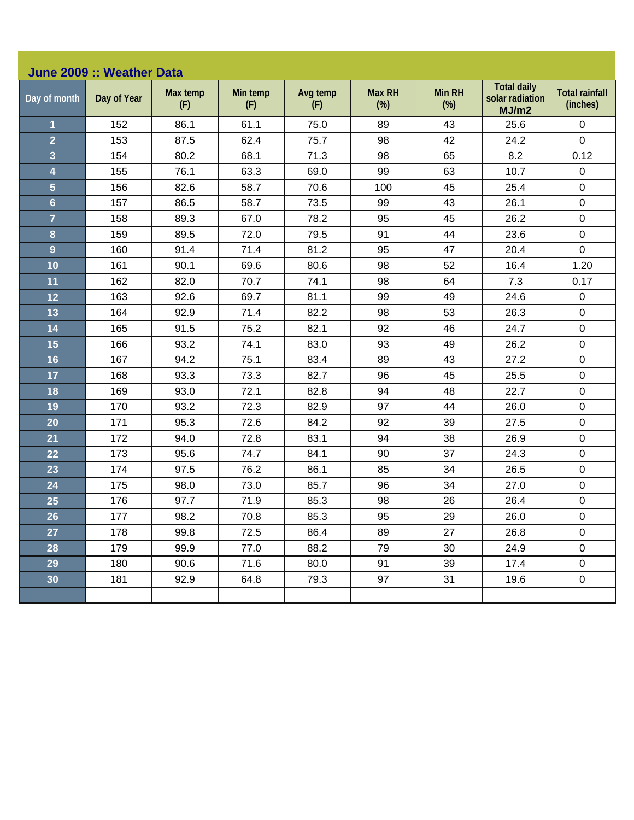| <b>Total daily</b><br>Max temp<br>Avg temp<br><b>Max RH</b><br><b>Min RH</b><br><b>Total rainfall</b><br>Min temp<br>solar radiation<br>Day of month<br>Day of Year<br>$(\%)$<br>(inches)<br>$(\%)$<br>(F)<br>(F)<br>(F)<br>MJ/m2<br>152<br>86.1<br>61.1<br>75.0<br>89<br>25.6<br>0<br>1<br>43<br>$\overline{2}$<br>153<br>87.5<br>62.4<br>75.7<br>98<br>42<br>24.2<br>$\mathbf 0$<br>3<br>98<br>65<br>8.2<br>0.12<br>154<br>80.2<br>68.1<br>71.3<br>4<br>76.1<br>63.3<br>69.0<br>99<br>63<br>10.7<br>$\mathsf 0$<br>155<br>5<br>$\pmb{0}$<br>100<br>45<br>156<br>82.6<br>58.7<br>70.6<br>25.4<br>$6\phantom{a}$<br>157<br>86.5<br>58.7<br>73.5<br>99<br>43<br>26.1<br>$\mathsf 0$<br>$\overline{7}$<br>$\pmb{0}$<br>45<br>158<br>89.3<br>67.0<br>78.2<br>95<br>26.2<br>8<br>79.5<br>23.6<br>159<br>89.5<br>72.0<br>91<br>44<br>$\pmb{0}$<br>9<br>91.4<br>95<br>$\mathbf 0$<br>160<br>71.4<br>81.2<br>47<br>20.4<br>80.6<br>98<br>52<br>16.4<br>1.20<br>10<br>161<br>90.1<br>69.6<br>11<br>162<br>70.7<br>74.1<br>98<br>64<br>7.3<br>82.0<br>0.17<br>92.6<br>69.7<br>81.1<br>99<br>24.6<br>12<br>163<br>49<br>0<br>13<br>$\mathsf 0$<br>164<br>92.9<br>71.4<br>82.2<br>98<br>53<br>26.3<br>14<br>165<br>91.5<br>75.2<br>82.1<br>92<br>46<br>24.7<br>$\mathsf 0$<br>15<br>$\pmb{0}$<br>166<br>93.2<br>83.0<br>93<br>49<br>26.2<br>74.1<br>16<br>94.2<br>$\mathsf 0$<br>167<br>75.1<br>83.4<br>89<br>43<br>27.2<br>$\pmb{0}$<br>17<br>168<br>93.3<br>73.3<br>82.7<br>96<br>45<br>25.5<br>18<br>82.8<br>94<br>48<br>22.7<br>$\mathsf 0$<br>169<br>93.0<br>72.1<br>44<br>19<br>170<br>93.2<br>72.3<br>82.9<br>97<br>26.0<br>$\pmb{0}$<br>$\pmb{0}$<br>20<br>171<br>95.3<br>84.2<br>92<br>39<br>72.6<br>27.5<br>21<br>83.1<br>94<br>38<br>26.9<br>$\mathsf 0$<br>172<br>94.0<br>72.8<br>$\pmb{0}$<br>95.6<br>84.1<br>90<br>37<br>24.3<br>22<br>173<br>74.7<br>23<br>174<br>97.5<br>76.2<br>86.1<br>85<br>34<br>26.5<br>$\mathsf 0$<br>24<br>98.0<br>96<br>34<br>$\pmb{0}$<br>175<br>73.0<br>85.7<br>27.0<br>25<br>97.7<br>71.9<br>85.3<br>98<br>26<br>26.4<br>$\pmb{0}$<br>176<br>26<br>$\mathbf 0$<br>85.3<br>29<br>177<br>98.2<br>70.8<br>95<br>26.0<br>27<br>178<br>99.8<br>72.5<br>86.4<br>89<br>27<br>26.8<br>0<br>28<br>99.9<br>88.2<br>$\mathbf 0$<br>179<br>77.0<br>79<br>30<br>24.9<br>29<br>90.6<br>71.6<br>80.0<br>91<br>39<br>17.4<br>$\mathbf 0$<br>180<br>97<br>31<br>$\boldsymbol{0}$<br>30<br>181<br>92.9<br>64.8<br>79.3<br>19.6 | June 2009 :: Weather Data |  |  |  |  |  |  |  |  |  |  |
|----------------------------------------------------------------------------------------------------------------------------------------------------------------------------------------------------------------------------------------------------------------------------------------------------------------------------------------------------------------------------------------------------------------------------------------------------------------------------------------------------------------------------------------------------------------------------------------------------------------------------------------------------------------------------------------------------------------------------------------------------------------------------------------------------------------------------------------------------------------------------------------------------------------------------------------------------------------------------------------------------------------------------------------------------------------------------------------------------------------------------------------------------------------------------------------------------------------------------------------------------------------------------------------------------------------------------------------------------------------------------------------------------------------------------------------------------------------------------------------------------------------------------------------------------------------------------------------------------------------------------------------------------------------------------------------------------------------------------------------------------------------------------------------------------------------------------------------------------------------------------------------------------------------------------------------------------------------------------------------------------------------------------------------------------------------------------------------------------------------------------------------------------------------------------------------------------------------------------------------------------------------------------------------------------------------------------------------------------------------------------------------------------------------------------------------------|---------------------------|--|--|--|--|--|--|--|--|--|--|
|                                                                                                                                                                                                                                                                                                                                                                                                                                                                                                                                                                                                                                                                                                                                                                                                                                                                                                                                                                                                                                                                                                                                                                                                                                                                                                                                                                                                                                                                                                                                                                                                                                                                                                                                                                                                                                                                                                                                                                                                                                                                                                                                                                                                                                                                                                                                                                                                                                              |                           |  |  |  |  |  |  |  |  |  |  |
|                                                                                                                                                                                                                                                                                                                                                                                                                                                                                                                                                                                                                                                                                                                                                                                                                                                                                                                                                                                                                                                                                                                                                                                                                                                                                                                                                                                                                                                                                                                                                                                                                                                                                                                                                                                                                                                                                                                                                                                                                                                                                                                                                                                                                                                                                                                                                                                                                                              |                           |  |  |  |  |  |  |  |  |  |  |
|                                                                                                                                                                                                                                                                                                                                                                                                                                                                                                                                                                                                                                                                                                                                                                                                                                                                                                                                                                                                                                                                                                                                                                                                                                                                                                                                                                                                                                                                                                                                                                                                                                                                                                                                                                                                                                                                                                                                                                                                                                                                                                                                                                                                                                                                                                                                                                                                                                              |                           |  |  |  |  |  |  |  |  |  |  |
|                                                                                                                                                                                                                                                                                                                                                                                                                                                                                                                                                                                                                                                                                                                                                                                                                                                                                                                                                                                                                                                                                                                                                                                                                                                                                                                                                                                                                                                                                                                                                                                                                                                                                                                                                                                                                                                                                                                                                                                                                                                                                                                                                                                                                                                                                                                                                                                                                                              |                           |  |  |  |  |  |  |  |  |  |  |
|                                                                                                                                                                                                                                                                                                                                                                                                                                                                                                                                                                                                                                                                                                                                                                                                                                                                                                                                                                                                                                                                                                                                                                                                                                                                                                                                                                                                                                                                                                                                                                                                                                                                                                                                                                                                                                                                                                                                                                                                                                                                                                                                                                                                                                                                                                                                                                                                                                              |                           |  |  |  |  |  |  |  |  |  |  |
|                                                                                                                                                                                                                                                                                                                                                                                                                                                                                                                                                                                                                                                                                                                                                                                                                                                                                                                                                                                                                                                                                                                                                                                                                                                                                                                                                                                                                                                                                                                                                                                                                                                                                                                                                                                                                                                                                                                                                                                                                                                                                                                                                                                                                                                                                                                                                                                                                                              |                           |  |  |  |  |  |  |  |  |  |  |
|                                                                                                                                                                                                                                                                                                                                                                                                                                                                                                                                                                                                                                                                                                                                                                                                                                                                                                                                                                                                                                                                                                                                                                                                                                                                                                                                                                                                                                                                                                                                                                                                                                                                                                                                                                                                                                                                                                                                                                                                                                                                                                                                                                                                                                                                                                                                                                                                                                              |                           |  |  |  |  |  |  |  |  |  |  |
|                                                                                                                                                                                                                                                                                                                                                                                                                                                                                                                                                                                                                                                                                                                                                                                                                                                                                                                                                                                                                                                                                                                                                                                                                                                                                                                                                                                                                                                                                                                                                                                                                                                                                                                                                                                                                                                                                                                                                                                                                                                                                                                                                                                                                                                                                                                                                                                                                                              |                           |  |  |  |  |  |  |  |  |  |  |
|                                                                                                                                                                                                                                                                                                                                                                                                                                                                                                                                                                                                                                                                                                                                                                                                                                                                                                                                                                                                                                                                                                                                                                                                                                                                                                                                                                                                                                                                                                                                                                                                                                                                                                                                                                                                                                                                                                                                                                                                                                                                                                                                                                                                                                                                                                                                                                                                                                              |                           |  |  |  |  |  |  |  |  |  |  |
|                                                                                                                                                                                                                                                                                                                                                                                                                                                                                                                                                                                                                                                                                                                                                                                                                                                                                                                                                                                                                                                                                                                                                                                                                                                                                                                                                                                                                                                                                                                                                                                                                                                                                                                                                                                                                                                                                                                                                                                                                                                                                                                                                                                                                                                                                                                                                                                                                                              |                           |  |  |  |  |  |  |  |  |  |  |
|                                                                                                                                                                                                                                                                                                                                                                                                                                                                                                                                                                                                                                                                                                                                                                                                                                                                                                                                                                                                                                                                                                                                                                                                                                                                                                                                                                                                                                                                                                                                                                                                                                                                                                                                                                                                                                                                                                                                                                                                                                                                                                                                                                                                                                                                                                                                                                                                                                              |                           |  |  |  |  |  |  |  |  |  |  |
|                                                                                                                                                                                                                                                                                                                                                                                                                                                                                                                                                                                                                                                                                                                                                                                                                                                                                                                                                                                                                                                                                                                                                                                                                                                                                                                                                                                                                                                                                                                                                                                                                                                                                                                                                                                                                                                                                                                                                                                                                                                                                                                                                                                                                                                                                                                                                                                                                                              |                           |  |  |  |  |  |  |  |  |  |  |
|                                                                                                                                                                                                                                                                                                                                                                                                                                                                                                                                                                                                                                                                                                                                                                                                                                                                                                                                                                                                                                                                                                                                                                                                                                                                                                                                                                                                                                                                                                                                                                                                                                                                                                                                                                                                                                                                                                                                                                                                                                                                                                                                                                                                                                                                                                                                                                                                                                              |                           |  |  |  |  |  |  |  |  |  |  |
|                                                                                                                                                                                                                                                                                                                                                                                                                                                                                                                                                                                                                                                                                                                                                                                                                                                                                                                                                                                                                                                                                                                                                                                                                                                                                                                                                                                                                                                                                                                                                                                                                                                                                                                                                                                                                                                                                                                                                                                                                                                                                                                                                                                                                                                                                                                                                                                                                                              |                           |  |  |  |  |  |  |  |  |  |  |
|                                                                                                                                                                                                                                                                                                                                                                                                                                                                                                                                                                                                                                                                                                                                                                                                                                                                                                                                                                                                                                                                                                                                                                                                                                                                                                                                                                                                                                                                                                                                                                                                                                                                                                                                                                                                                                                                                                                                                                                                                                                                                                                                                                                                                                                                                                                                                                                                                                              |                           |  |  |  |  |  |  |  |  |  |  |
|                                                                                                                                                                                                                                                                                                                                                                                                                                                                                                                                                                                                                                                                                                                                                                                                                                                                                                                                                                                                                                                                                                                                                                                                                                                                                                                                                                                                                                                                                                                                                                                                                                                                                                                                                                                                                                                                                                                                                                                                                                                                                                                                                                                                                                                                                                                                                                                                                                              |                           |  |  |  |  |  |  |  |  |  |  |
|                                                                                                                                                                                                                                                                                                                                                                                                                                                                                                                                                                                                                                                                                                                                                                                                                                                                                                                                                                                                                                                                                                                                                                                                                                                                                                                                                                                                                                                                                                                                                                                                                                                                                                                                                                                                                                                                                                                                                                                                                                                                                                                                                                                                                                                                                                                                                                                                                                              |                           |  |  |  |  |  |  |  |  |  |  |
|                                                                                                                                                                                                                                                                                                                                                                                                                                                                                                                                                                                                                                                                                                                                                                                                                                                                                                                                                                                                                                                                                                                                                                                                                                                                                                                                                                                                                                                                                                                                                                                                                                                                                                                                                                                                                                                                                                                                                                                                                                                                                                                                                                                                                                                                                                                                                                                                                                              |                           |  |  |  |  |  |  |  |  |  |  |
|                                                                                                                                                                                                                                                                                                                                                                                                                                                                                                                                                                                                                                                                                                                                                                                                                                                                                                                                                                                                                                                                                                                                                                                                                                                                                                                                                                                                                                                                                                                                                                                                                                                                                                                                                                                                                                                                                                                                                                                                                                                                                                                                                                                                                                                                                                                                                                                                                                              |                           |  |  |  |  |  |  |  |  |  |  |
|                                                                                                                                                                                                                                                                                                                                                                                                                                                                                                                                                                                                                                                                                                                                                                                                                                                                                                                                                                                                                                                                                                                                                                                                                                                                                                                                                                                                                                                                                                                                                                                                                                                                                                                                                                                                                                                                                                                                                                                                                                                                                                                                                                                                                                                                                                                                                                                                                                              |                           |  |  |  |  |  |  |  |  |  |  |
|                                                                                                                                                                                                                                                                                                                                                                                                                                                                                                                                                                                                                                                                                                                                                                                                                                                                                                                                                                                                                                                                                                                                                                                                                                                                                                                                                                                                                                                                                                                                                                                                                                                                                                                                                                                                                                                                                                                                                                                                                                                                                                                                                                                                                                                                                                                                                                                                                                              |                           |  |  |  |  |  |  |  |  |  |  |
|                                                                                                                                                                                                                                                                                                                                                                                                                                                                                                                                                                                                                                                                                                                                                                                                                                                                                                                                                                                                                                                                                                                                                                                                                                                                                                                                                                                                                                                                                                                                                                                                                                                                                                                                                                                                                                                                                                                                                                                                                                                                                                                                                                                                                                                                                                                                                                                                                                              |                           |  |  |  |  |  |  |  |  |  |  |
|                                                                                                                                                                                                                                                                                                                                                                                                                                                                                                                                                                                                                                                                                                                                                                                                                                                                                                                                                                                                                                                                                                                                                                                                                                                                                                                                                                                                                                                                                                                                                                                                                                                                                                                                                                                                                                                                                                                                                                                                                                                                                                                                                                                                                                                                                                                                                                                                                                              |                           |  |  |  |  |  |  |  |  |  |  |
|                                                                                                                                                                                                                                                                                                                                                                                                                                                                                                                                                                                                                                                                                                                                                                                                                                                                                                                                                                                                                                                                                                                                                                                                                                                                                                                                                                                                                                                                                                                                                                                                                                                                                                                                                                                                                                                                                                                                                                                                                                                                                                                                                                                                                                                                                                                                                                                                                                              |                           |  |  |  |  |  |  |  |  |  |  |
|                                                                                                                                                                                                                                                                                                                                                                                                                                                                                                                                                                                                                                                                                                                                                                                                                                                                                                                                                                                                                                                                                                                                                                                                                                                                                                                                                                                                                                                                                                                                                                                                                                                                                                                                                                                                                                                                                                                                                                                                                                                                                                                                                                                                                                                                                                                                                                                                                                              |                           |  |  |  |  |  |  |  |  |  |  |
|                                                                                                                                                                                                                                                                                                                                                                                                                                                                                                                                                                                                                                                                                                                                                                                                                                                                                                                                                                                                                                                                                                                                                                                                                                                                                                                                                                                                                                                                                                                                                                                                                                                                                                                                                                                                                                                                                                                                                                                                                                                                                                                                                                                                                                                                                                                                                                                                                                              |                           |  |  |  |  |  |  |  |  |  |  |
|                                                                                                                                                                                                                                                                                                                                                                                                                                                                                                                                                                                                                                                                                                                                                                                                                                                                                                                                                                                                                                                                                                                                                                                                                                                                                                                                                                                                                                                                                                                                                                                                                                                                                                                                                                                                                                                                                                                                                                                                                                                                                                                                                                                                                                                                                                                                                                                                                                              |                           |  |  |  |  |  |  |  |  |  |  |
|                                                                                                                                                                                                                                                                                                                                                                                                                                                                                                                                                                                                                                                                                                                                                                                                                                                                                                                                                                                                                                                                                                                                                                                                                                                                                                                                                                                                                                                                                                                                                                                                                                                                                                                                                                                                                                                                                                                                                                                                                                                                                                                                                                                                                                                                                                                                                                                                                                              |                           |  |  |  |  |  |  |  |  |  |  |
|                                                                                                                                                                                                                                                                                                                                                                                                                                                                                                                                                                                                                                                                                                                                                                                                                                                                                                                                                                                                                                                                                                                                                                                                                                                                                                                                                                                                                                                                                                                                                                                                                                                                                                                                                                                                                                                                                                                                                                                                                                                                                                                                                                                                                                                                                                                                                                                                                                              |                           |  |  |  |  |  |  |  |  |  |  |
|                                                                                                                                                                                                                                                                                                                                                                                                                                                                                                                                                                                                                                                                                                                                                                                                                                                                                                                                                                                                                                                                                                                                                                                                                                                                                                                                                                                                                                                                                                                                                                                                                                                                                                                                                                                                                                                                                                                                                                                                                                                                                                                                                                                                                                                                                                                                                                                                                                              |                           |  |  |  |  |  |  |  |  |  |  |
|                                                                                                                                                                                                                                                                                                                                                                                                                                                                                                                                                                                                                                                                                                                                                                                                                                                                                                                                                                                                                                                                                                                                                                                                                                                                                                                                                                                                                                                                                                                                                                                                                                                                                                                                                                                                                                                                                                                                                                                                                                                                                                                                                                                                                                                                                                                                                                                                                                              |                           |  |  |  |  |  |  |  |  |  |  |
|                                                                                                                                                                                                                                                                                                                                                                                                                                                                                                                                                                                                                                                                                                                                                                                                                                                                                                                                                                                                                                                                                                                                                                                                                                                                                                                                                                                                                                                                                                                                                                                                                                                                                                                                                                                                                                                                                                                                                                                                                                                                                                                                                                                                                                                                                                                                                                                                                                              |                           |  |  |  |  |  |  |  |  |  |  |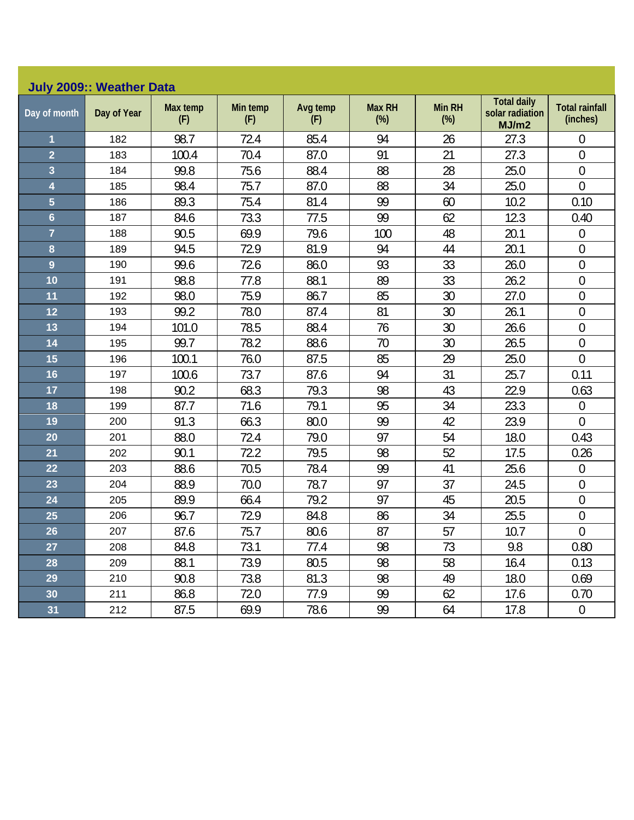| <b>July 2009:: Weather Data</b> |             |                 |                 |                 |                         |                      |                                                |                                   |  |  |
|---------------------------------|-------------|-----------------|-----------------|-----------------|-------------------------|----------------------|------------------------------------------------|-----------------------------------|--|--|
| Day of month                    | Day of Year | Max temp<br>(F) | Min temp<br>(F) | Avg temp<br>(F) | <b>Max RH</b><br>$(\%)$ | <b>Min RH</b><br>(%) | <b>Total daily</b><br>solar radiation<br>MJ/m2 | <b>Total rainfall</b><br>(inches) |  |  |
| 1                               | 182         | 98.7            | 72.4            | 85.4            | 94                      | 26                   | 27.3                                           | 0                                 |  |  |
| $\overline{2}$                  | 183         | 100.4           | 70.4            | 87.0            | 91                      | 21                   | 27.3                                           | $\mathbf 0$                       |  |  |
| 3                               | 184         | 99.8            | 75.6            | 88.4            | 88                      | 28                   | 25.0                                           | $\overline{0}$                    |  |  |
| 4                               | 185         | 98.4            | 75.7            | 87.0            | 88                      | 34                   | 25.0                                           | $\overline{0}$                    |  |  |
| $\overline{5}$                  | 186         | 89.3            | 75.4            | 81.4            | 99                      | 60                   | 10.2                                           | 0.10                              |  |  |
| $6\phantom{a}$                  | 187         | 84.6            | 73.3            | 77.5            | 99                      | 62                   | 12.3                                           | 0.40                              |  |  |
| $\overline{7}$                  | 188         | 90.5            | 69.9            | 79.6            | 100                     | 48                   | 20.1                                           | $\mathbf 0$                       |  |  |
| 8                               | 189         | 94.5            | 72.9            | 81.9            | 94                      | 44                   | 20.1                                           | $\mathbf 0$                       |  |  |
| $\overline{9}$                  | 190         | 99.6            | 72.6            | 86.0            | 93                      | 33                   | 26.0                                           | $\mathbf 0$                       |  |  |
| 10                              | 191         | 98.8            | 77.8            | 88.1            | 89                      | 33                   | 26.2                                           | $\mathbf 0$                       |  |  |
| 11                              | 192         | 98.0            | 75.9            | 86.7            | 85                      | 30                   | 27.0                                           | $\mathbf 0$                       |  |  |
| 12                              | 193         | 99.2            | 78.0            | 87.4            | 81                      | 30                   | 26.1                                           | $\overline{0}$                    |  |  |
| 13                              | 194         | 101.0           | 78.5            | 88.4            | 76                      | 30                   | 26.6                                           | $\mathbf 0$                       |  |  |
| 14                              | 195         | 99.7            | 78.2            | 88.6            | 70                      | 30                   | 26.5                                           | $\boldsymbol{0}$                  |  |  |
| 15                              | 196         | 100.1           | 76.0            | 87.5            | 85                      | 29                   | 25.0                                           | $\overline{0}$                    |  |  |
| 16                              | 197         | 100.6           | 73.7            | 87.6            | 94                      | 31                   | 25.7                                           | 0.11                              |  |  |
| 17                              | 198         | 90.2            | 68.3            | 79.3            | 98                      | 43                   | 22.9                                           | 0.63                              |  |  |
| 18                              | 199         | 87.7            | 71.6            | 79.1            | 95                      | 34                   | 23.3                                           | 0                                 |  |  |
| 19                              | 200         | 91.3            | 66.3            | 80.0            | 99                      | 42                   | 23.9                                           | $\overline{0}$                    |  |  |
| 20                              | 201         | 88.0            | 72.4            | 79.0            | 97                      | 54                   | 18.0                                           | 0.43                              |  |  |
| 21                              | 202         | 90.1            | 72.2            | 79.5            | 98                      | 52                   | 17.5                                           | 0.26                              |  |  |
| 22                              | 203         | 88.6            | 70.5            | 78.4            | 99                      | 41                   | 25.6                                           | $\mathbf 0$                       |  |  |
| 23                              | 204         | 88.9            | 70.0            | 78.7            | 97                      | 37                   | 24.5                                           | $\overline{0}$                    |  |  |
| 24                              | 205         | 89.9            | 66.4            | 79.2            | 97                      | 45                   | 20.5                                           | $\boldsymbol{0}$                  |  |  |
| 25                              | 206         | 96.7            | 72.9            | 84.8            | 86                      | 34                   | 25.5                                           | $\mathbf 0$                       |  |  |
| 26                              | 207         | 87.6            | 75.7            | 80.6            | 87                      | 57                   | 10.7                                           | $\overline{0}$                    |  |  |
| 27                              | 208         | 84.8            | 73.1            | 77.4            | 98                      | 73                   | 9.8                                            | 0.80                              |  |  |
| 28                              | 209         | 88.1            | 73.9            | 80.5            | 98                      | 58                   | 16.4                                           | 0.13                              |  |  |
| 29                              | 210         | 90.8            | 73.8            | 81.3            | 98                      | 49                   | 18.0                                           | 0.69                              |  |  |
| 30 <sub>o</sub>                 | 211         | 86.8            | 72.0            | 77.9            | 99                      | 62                   | 17.6                                           | 0.70                              |  |  |
| 31                              | 212         | 87.5            | 69.9            | 78.6            | 99                      | 64                   | 17.8                                           | $\boldsymbol{0}$                  |  |  |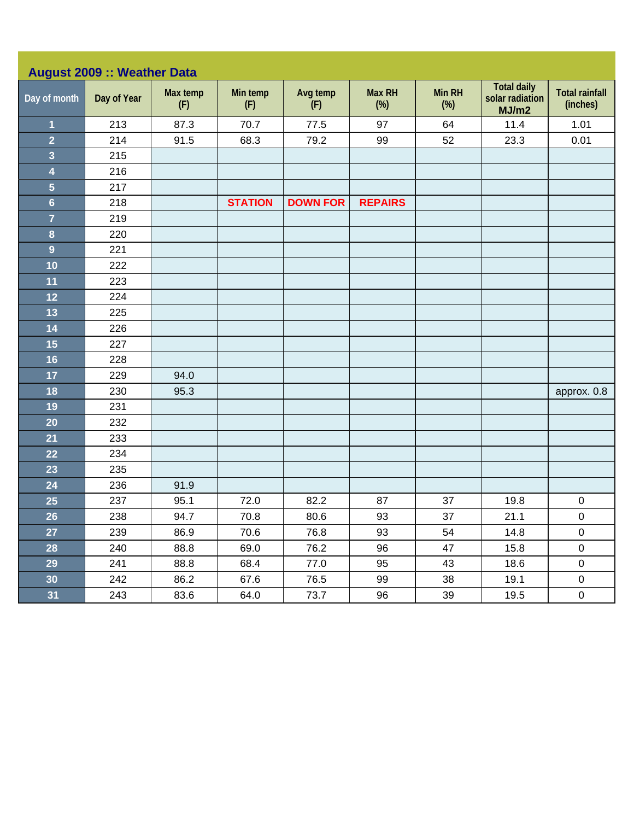| <b>August 2009 :: Weather Data</b> |             |                 |                 |                 |                      |               |                                                |                                   |  |  |
|------------------------------------|-------------|-----------------|-----------------|-----------------|----------------------|---------------|------------------------------------------------|-----------------------------------|--|--|
| Day of month                       | Day of Year | Max temp<br>(F) | Min temp<br>(F) | Avg temp<br>(F) | <b>Max RH</b><br>(%) | Min RH<br>(%) | <b>Total daily</b><br>solar radiation<br>MJ/m2 | <b>Total rainfall</b><br>(inches) |  |  |
| $\overline{1}$                     | 213         | 87.3            | 70.7            | 77.5            | 97                   | 64            | 11.4                                           | 1.01                              |  |  |
| $\overline{2}$                     | 214         | 91.5            | 68.3            | 79.2            | 99                   | 52            | 23.3                                           | 0.01                              |  |  |
| $\overline{\mathbf{3}}$            | 215         |                 |                 |                 |                      |               |                                                |                                   |  |  |
| $\overline{\mathbf{4}}$            | 216         |                 |                 |                 |                      |               |                                                |                                   |  |  |
| $\overline{\mathbf{5}}$            | 217         |                 |                 |                 |                      |               |                                                |                                   |  |  |
| $6\phantom{a}$                     | 218         |                 | <b>STATION</b>  | <b>DOWN FOR</b> | <b>REPAIRS</b>       |               |                                                |                                   |  |  |
| $\overline{7}$                     | 219         |                 |                 |                 |                      |               |                                                |                                   |  |  |
| $\boldsymbol{8}$                   | 220         |                 |                 |                 |                      |               |                                                |                                   |  |  |
| $\overline{9}$                     | 221         |                 |                 |                 |                      |               |                                                |                                   |  |  |
| 10                                 | 222         |                 |                 |                 |                      |               |                                                |                                   |  |  |
| 11                                 | 223         |                 |                 |                 |                      |               |                                                |                                   |  |  |
| 12                                 | 224         |                 |                 |                 |                      |               |                                                |                                   |  |  |
| 13                                 | 225         |                 |                 |                 |                      |               |                                                |                                   |  |  |
| 14                                 | 226         |                 |                 |                 |                      |               |                                                |                                   |  |  |
| 15                                 | 227         |                 |                 |                 |                      |               |                                                |                                   |  |  |
| 16                                 | 228         |                 |                 |                 |                      |               |                                                |                                   |  |  |
| 17                                 | 229         | 94.0            |                 |                 |                      |               |                                                |                                   |  |  |
| 18                                 | 230         | 95.3            |                 |                 |                      |               |                                                | approx. 0.8                       |  |  |
| 19                                 | 231         |                 |                 |                 |                      |               |                                                |                                   |  |  |
| 20                                 | 232         |                 |                 |                 |                      |               |                                                |                                   |  |  |
| 21                                 | 233         |                 |                 |                 |                      |               |                                                |                                   |  |  |
| 22                                 | 234         |                 |                 |                 |                      |               |                                                |                                   |  |  |
| 23                                 | 235         |                 |                 |                 |                      |               |                                                |                                   |  |  |
| 24                                 | 236         | 91.9            |                 |                 |                      |               |                                                |                                   |  |  |
| 25                                 | 237         | 95.1            | 72.0            | 82.2            | 87                   | 37            | 19.8                                           | $\pmb{0}$                         |  |  |
| 26                                 | 238         | 94.7            | 70.8            | 80.6            | 93                   | 37            | 21.1                                           | $\pmb{0}$                         |  |  |
| 27                                 | 239         | 86.9            | 70.6            | 76.8            | 93                   | 54            | 14.8                                           | $\pmb{0}$                         |  |  |
| 28                                 | 240         | 88.8            | 69.0            | 76.2            | 96                   | 47            | 15.8                                           | $\mathbf 0$                       |  |  |
| 29                                 | 241         | 88.8            | 68.4            | 77.0            | 95                   | 43            | 18.6                                           | $\mathbf 0$                       |  |  |
| 30 <sub>o</sub>                    | 242         | 86.2            | 67.6            | 76.5            | 99                   | 38            | 19.1                                           | $\pmb{0}$                         |  |  |
| 31                                 | 243         | 83.6            | 64.0            | 73.7            | 96                   | 39            | 19.5                                           | $\mathbf 0$                       |  |  |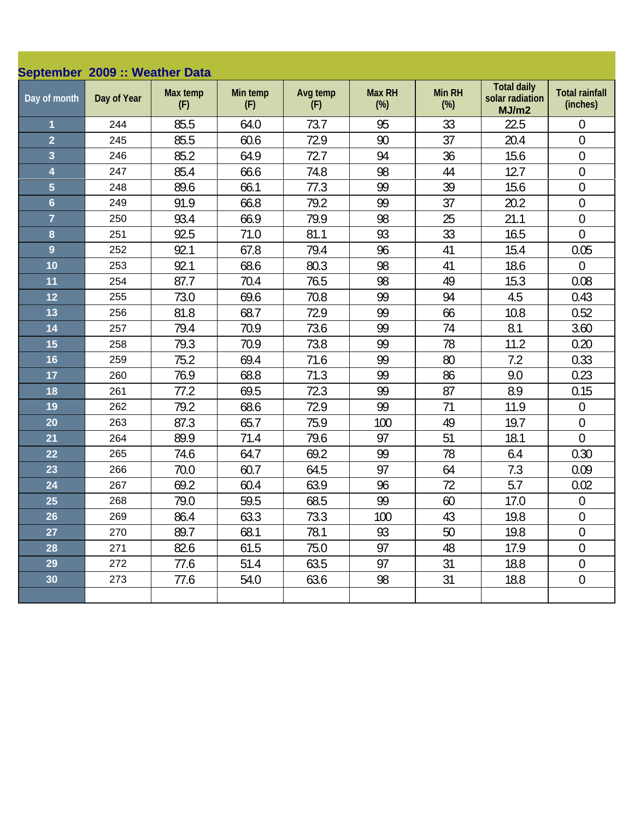|                         | September 2009 :: Weather Data |                 |                 |                 |                         |               |                                                |                                   |  |  |  |
|-------------------------|--------------------------------|-----------------|-----------------|-----------------|-------------------------|---------------|------------------------------------------------|-----------------------------------|--|--|--|
| Day of month            | Day of Year                    | Max temp<br>(F) | Min temp<br>(F) | Avg temp<br>(F) | <b>Max RH</b><br>$(\%)$ | Min RH<br>(%) | <b>Total daily</b><br>solar radiation<br>MJ/m2 | <b>Total rainfall</b><br>(inches) |  |  |  |
| 1                       | 244                            | 85.5            | 64.0            | 73.7            | 95                      | 33            | 22.5                                           | $\mathbf 0$                       |  |  |  |
| $\overline{2}$          | 245                            | 85.5            | 60.6            | 72.9            | 90                      | 37            | 20.4                                           | $\boldsymbol{0}$                  |  |  |  |
| $\overline{\mathbf{3}}$ | 246                            | 85.2            | 64.9            | 72.7            | 94                      | 36            | 15.6                                           | $\boldsymbol{0}$                  |  |  |  |
| $\overline{\mathbf{4}}$ | 247                            | 85.4            | 66.6            | 74.8            | 98                      | 44            | 12.7                                           | $\boldsymbol{0}$                  |  |  |  |
| $\overline{5}$          | 248                            | 89.6            | 66.1            | 77.3            | 99                      | 39            | 15.6                                           | $\boldsymbol{0}$                  |  |  |  |
| $6\phantom{a}$          | 249                            | 91.9            | 66.8            | 79.2            | 99                      | 37            | 20.2                                           | $\boldsymbol{0}$                  |  |  |  |
| $\overline{7}$          | 250                            | 93.4            | 66.9            | 79.9            | 98                      | 25            | 21.1                                           | $\boldsymbol{0}$                  |  |  |  |
| 8                       | 251                            | 92.5            | 71.0            | 81.1            | 93                      | 33            | 16.5                                           | $\overline{0}$                    |  |  |  |
| $\overline{9}$          | 252                            | 92.1            | 67.8            | 79.4            | 96                      | 41            | 15.4                                           | 0.05                              |  |  |  |
| 10                      | 253                            | 92.1            | 68.6            | 80.3            | 98                      | 41            | 18.6                                           | $\overline{0}$                    |  |  |  |
| 11                      | 254                            | 87.7            | 70.4            | 76.5            | 98                      | 49            | 15.3                                           | 0.08                              |  |  |  |
| 12                      | 255                            | 73.0            | 69.6            | 70.8            | 99                      | 94            | 4.5                                            | 0.43                              |  |  |  |
| 13                      | 256                            | 81.8            | 68.7            | 72.9            | 99                      | 66            | 10.8                                           | 0.52                              |  |  |  |
| 14                      | 257                            | 79.4            | 70.9            | 73.6            | 99                      | 74            | 8.1                                            | 3.60                              |  |  |  |
| 15                      | 258                            | 79.3            | 70.9            | 73.8            | 99                      | 78            | 11.2                                           | 0.20                              |  |  |  |
| 16                      | 259                            | 75.2            | 69.4            | 71.6            | 99                      | 80            | 7.2                                            | 0.33                              |  |  |  |
| 17                      | 260                            | 76.9            | 68.8            | 71.3            | 99                      | 86            | 9.0                                            | 0.23                              |  |  |  |
| 18                      | 261                            | 77.2            | 69.5            | 72.3            | 99                      | 87            | 8.9                                            | 0.15                              |  |  |  |
| 19                      | 262                            | 79.2            | 68.6            | 72.9            | 99                      | 71            | 11.9                                           | $\boldsymbol{0}$                  |  |  |  |
| 20                      | 263                            | 87.3            | 65.7            | 75.9            | 100                     | 49            | 19.7                                           | $\mathbf 0$                       |  |  |  |
| 21                      | 264                            | 89.9            | 71.4            | 79.6            | 97                      | 51            | 18.1                                           | $\overline{0}$                    |  |  |  |
| 22                      | 265                            | 74.6            | 64.7            | 69.2            | 99                      | 78            | 6.4                                            | 0.30                              |  |  |  |
| 23                      | 266                            | 70.0            | 60.7            | 64.5            | 97                      | 64            | 7.3                                            | 0.09                              |  |  |  |
| 24                      | 267                            | 69.2            | 60.4            | 63.9            | 96                      | 72            | 5.7                                            | 0.02                              |  |  |  |
| 25                      | 268                            | 79.0            | 59.5            | 68.5            | 99                      | 60            | 17.0                                           | $\boldsymbol{0}$                  |  |  |  |
| 26                      | 269                            | 86.4            | 63.3            | 73.3            | 100                     | 43            | 19.8                                           | $\overline{0}$                    |  |  |  |
| 27                      | 270                            | 89.7            | 68.1            | 78.1            | 93                      | 50            | 19.8                                           | 0                                 |  |  |  |
| 28                      | 271                            | 82.6            | 61.5            | 75.0            | 97                      | 48            | 17.9                                           | $\boldsymbol{0}$                  |  |  |  |
| 29                      | 272                            | 77.6            | 51.4            | 63.5            | 97                      | 31            | 18.8                                           | $\boldsymbol{0}$                  |  |  |  |
| 30                      | 273                            | 77.6            | 54.0            | 63.6            | 98                      | 31            | 18.8                                           | $\boldsymbol{0}$                  |  |  |  |
|                         |                                |                 |                 |                 |                         |               |                                                |                                   |  |  |  |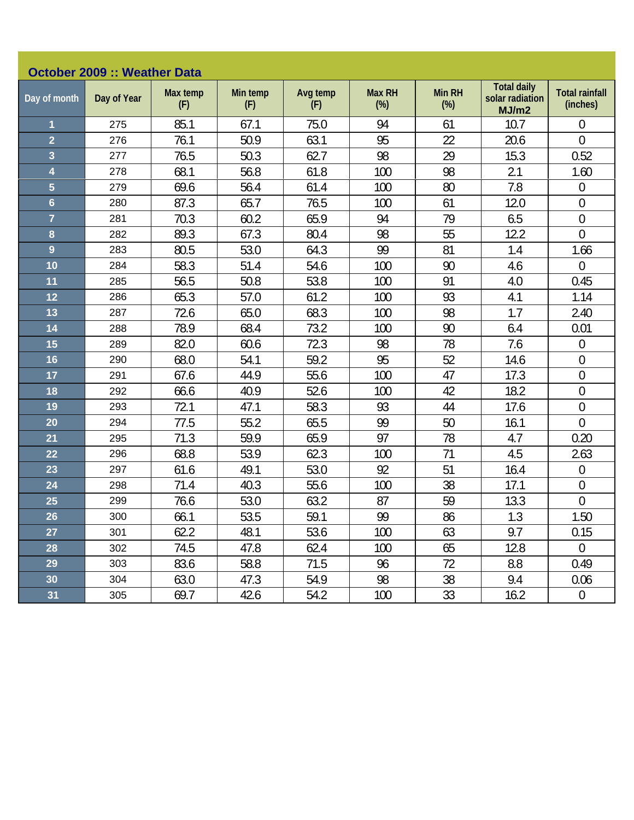| <b>October 2009 :: Weather Data</b> |             |                 |                 |                 |                         |                         |                                                |                                   |  |  |
|-------------------------------------|-------------|-----------------|-----------------|-----------------|-------------------------|-------------------------|------------------------------------------------|-----------------------------------|--|--|
| Day of month                        | Day of Year | Max temp<br>(F) | Min temp<br>(F) | Avg temp<br>(F) | <b>Max RH</b><br>$(\%)$ | <b>Min RH</b><br>$(\%)$ | <b>Total daily</b><br>solar radiation<br>MJ/m2 | <b>Total rainfall</b><br>(inches) |  |  |
| $\overline{\mathbf{1}}$             | 275         | 85.1            | 67.1            | 75.0            | 94                      | 61                      | 10.7                                           | $\overline{0}$                    |  |  |
| $\overline{2}$                      | 276         | 76.1            | 50.9            | 63.1            | 95                      | 22                      | 20.6                                           | $\overline{0}$                    |  |  |
| 3                                   | 277         | 76.5            | 50.3            | 62.7            | 98                      | 29                      | 15.3                                           | 0.52                              |  |  |
| 4                                   | 278         | 68.1            | 56.8            | 61.8            | 100                     | 98                      | 2.1                                            | 1.60                              |  |  |
| $\overline{5}$                      | 279         | 69.6            | 56.4            | 61.4            | 100                     | 80                      | 7.8                                            | $\mathbf 0$                       |  |  |
| $6\phantom{a}$                      | 280         | 87.3            | 65.7            | 76.5            | 100                     | 61                      | 12.0                                           | $\mathbf 0$                       |  |  |
| $\overline{7}$                      | 281         | 70.3            | 60.2            | 65.9            | 94                      | 79                      | 6.5                                            | $\boldsymbol{0}$                  |  |  |
| 8                                   | 282         | 89.3            | 67.3            | 80.4            | 98                      | 55                      | 12.2                                           | $\overline{0}$                    |  |  |
| $\overline{9}$                      | 283         | 80.5            | 53.0            | 64.3            | 99                      | 81                      | 1.4                                            | 1.66                              |  |  |
| 10                                  | 284         | 58.3            | 51.4            | 54.6            | 100                     | 90                      | 4.6                                            | $\overline{0}$                    |  |  |
| 11                                  | 285         | 56.5            | 50.8            | 53.8            | 100                     | 91                      | 4.0                                            | 0.45                              |  |  |
| 12                                  | 286         | 65.3            | 57.0            | 61.2            | 100                     | 93                      | 4.1                                            | 1.14                              |  |  |
| 13                                  | 287         | 72.6            | 65.0            | 68.3            | 100                     | 98                      | 1.7                                            | 2.40                              |  |  |
| 14                                  | 288         | 78.9            | 68.4            | 73.2            | 100                     | 90                      | 6.4                                            | 0.01                              |  |  |
| 15                                  | 289         | 82.0            | 60.6            | 72.3            | 98                      | 78                      | 7.6                                            | $\boldsymbol{0}$                  |  |  |
| 16                                  | 290         | 68.0            | 54.1            | 59.2            | 95                      | 52                      | 14.6                                           | $\mathbf 0$                       |  |  |
| 17                                  | 291         | 67.6            | 44.9            | 55.6            | 100                     | 47                      | 17.3                                           | $\boldsymbol{0}$                  |  |  |
| 18                                  | 292         | 66.6            | 40.9            | 52.6            | 100                     | 42                      | 18.2                                           | $\mathbf 0$                       |  |  |
| 19                                  | 293         | 72.1            | 47.1            | 58.3            | 93                      | 44                      | 17.6                                           | $\boldsymbol{0}$                  |  |  |
| 20                                  | 294         | 77.5            | 55.2            | 65.5            | 99                      | 50                      | 16.1                                           | $\overline{0}$                    |  |  |
| 21                                  | 295         | 71.3            | 59.9            | 65.9            | 97                      | 78                      | 4.7                                            | 0.20                              |  |  |
| 22                                  | 296         | 68.8            | 53.9            | 62.3            | 100                     | 71                      | 4.5                                            | 2.63                              |  |  |
| 23                                  | 297         | 61.6            | 49.1            | 53.0            | 92                      | 51                      | 16.4                                           | $\overline{0}$                    |  |  |
| 24                                  | 298         | 71.4            | 40.3            | 55.6            | 100                     | 38                      | 17.1                                           | $\mathbf 0$                       |  |  |
| 25                                  | 299         | 76.6            | 53.0            | 63.2            | 87                      | 59                      | 13.3                                           | $\mathbf 0$                       |  |  |
| 26                                  | 300         | 66.1            | 53.5            | 59.1            | 99                      | 86                      | 1.3                                            | 1.50                              |  |  |
| 27                                  | 301         | 62.2            | 48.1            | 53.6            | 100                     | 63                      | 9.7                                            | 0.15                              |  |  |
| 28                                  | 302         | 74.5            | 47.8            | 62.4            | 100                     | 65                      | 12.8                                           | 0                                 |  |  |
| 29                                  | 303         | 83.6            | 58.8            | 71.5            | 96                      | 72                      | 8.8                                            | 0.49                              |  |  |
| 30                                  | 304         | 63.0            | 47.3            | 54.9            | 98                      | 38                      | 9.4                                            | 0.06                              |  |  |
| 31                                  | 305         | 69.7            | 42.6            | 54.2            | 100                     | 33                      | 16.2                                           | $\boldsymbol{0}$                  |  |  |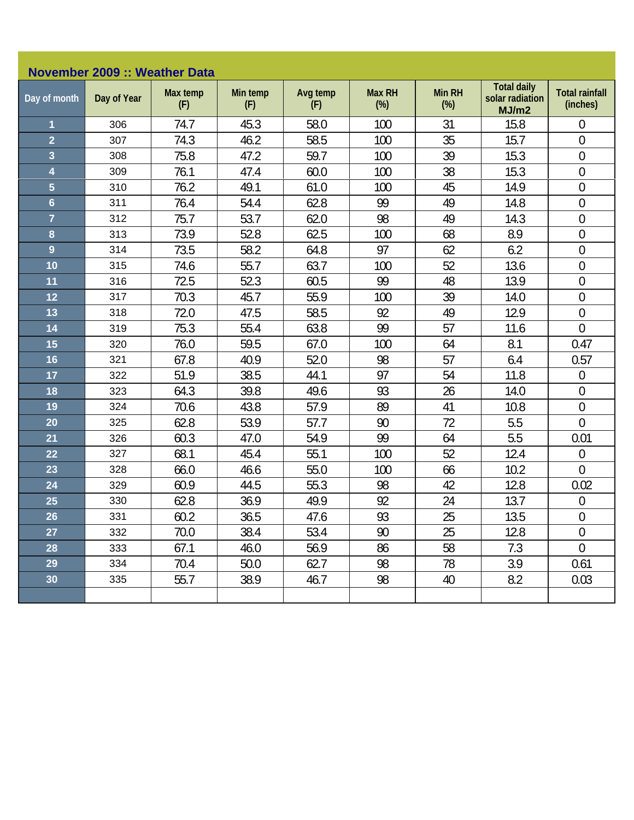| <b>November 2009 :: Weather Data</b> |             |                 |                 |                 |                         |                         |                                                |                                   |  |  |
|--------------------------------------|-------------|-----------------|-----------------|-----------------|-------------------------|-------------------------|------------------------------------------------|-----------------------------------|--|--|
| Day of month                         | Day of Year | Max temp<br>(F) | Min temp<br>(F) | Avg temp<br>(F) | <b>Max RH</b><br>$(\%)$ | <b>Min RH</b><br>$(\%)$ | <b>Total daily</b><br>solar radiation<br>MJ/m2 | <b>Total rainfall</b><br>(inches) |  |  |
| $\overline{\mathbf{1}}$              | 306         | 74.7            | 45.3            | 58.0            | 100                     | 31                      | 15.8                                           | $\mathbf 0$                       |  |  |
| $\overline{2}$                       | 307         | 74.3            | 46.2            | 58.5            | 100                     | 35                      | 15.7                                           | $\mathbf{0}$                      |  |  |
| 3                                    | 308         | 75.8            | 47.2            | 59.7            | 100                     | 39                      | 15.3                                           | $\boldsymbol{0}$                  |  |  |
| $\overline{\mathbf{4}}$              | 309         | 76.1            | 47.4            | 60.0            | 100                     | 38                      | 15.3                                           | $\boldsymbol{0}$                  |  |  |
| $\overline{5}$                       | 310         | 76.2            | 49.1            | 61.0            | 100                     | 45                      | 14.9                                           | $\boldsymbol{0}$                  |  |  |
| $6\phantom{a}$                       | 311         | 76.4            | 54.4            | 62.8            | 99                      | 49                      | 14.8                                           | $\boldsymbol{0}$                  |  |  |
| $\overline{7}$                       | 312         | 75.7            | 53.7            | 62.0            | 98                      | 49                      | 14.3                                           | $\boldsymbol{0}$                  |  |  |
| 8                                    | 313         | 73.9            | 52.8            | 62.5            | 100                     | 68                      | 8.9                                            | $\overline{0}$                    |  |  |
| $\overline{9}$                       | 314         | 73.5            | 58.2            | 64.8            | 97                      | 62                      | 6.2                                            | $\mathbf 0$                       |  |  |
| 10                                   | 315         | 74.6            | 55.7            | 63.7            | 100                     | 52                      | 13.6                                           | $\mathbf 0$                       |  |  |
| 11                                   | 316         | 72.5            | 52.3            | 60.5            | 99                      | 48                      | 13.9                                           | $\boldsymbol{0}$                  |  |  |
| 12                                   | 317         | 70.3            | 45.7            | 55.9            | 100                     | 39                      | 14.0                                           | $\mathbf 0$                       |  |  |
| 13                                   | 318         | 72.0            | 47.5            | 58.5            | 92                      | 49                      | 12.9                                           | $\overline{0}$                    |  |  |
| 14                                   | 319         | 75.3            | 55.4            | 63.8            | 99                      | 57                      | 11.6                                           | $\mathbf 0$                       |  |  |
| 15                                   | 320         | 76.0            | 59.5            | 67.0            | 100                     | 64                      | 8.1                                            | 0.47                              |  |  |
| 16                                   | 321         | 67.8            | 40.9            | 52.0            | 98                      | 57                      | 6.4                                            | 0.57                              |  |  |
| 17                                   | 322         | 51.9            | 38.5            | 44.1            | 97                      | 54                      | 11.8                                           | $\theta$                          |  |  |
| 18                                   | 323         | 64.3            | 39.8            | 49.6            | 93                      | 26                      | 14.0                                           | $\theta$                          |  |  |
| 19                                   | 324         | 70.6            | 43.8            | 57.9            | 89                      | 41                      | 10.8                                           | $\boldsymbol{0}$                  |  |  |
| 20                                   | 325         | 62.8            | 53.9            | 57.7            | 90                      | 72                      | 5.5                                            | $\overline{0}$                    |  |  |
| 21                                   | 326         | 60.3            | 47.0            | 54.9            | 99                      | 64                      | 5.5                                            | 0.01                              |  |  |
| 22                                   | 327         | 68.1            | 45.4            | 55.1            | 100                     | 52                      | 12.4                                           | $\boldsymbol{0}$                  |  |  |
| 23                                   | 328         | 66.0            | 46.6            | 55.0            | 100                     | 66                      | 10.2                                           | $\overline{0}$                    |  |  |
| 24                                   | 329         | 60.9            | 44.5            | 55.3            | 98                      | 42                      | 12.8                                           | 0.02                              |  |  |
| 25                                   | 330         | 62.8            | 36.9            | 49.9            | 92                      | 24                      | 13.7                                           | $\theta$                          |  |  |
| 26                                   | 331         | 60.2            | 36.5            | 47.6            | 93                      | 25                      | 13.5                                           | $\overline{0}$                    |  |  |
| 27                                   | 332         | 70.0            | 38.4            | 53.4            | 90                      | 25                      | 12.8                                           | $\theta$                          |  |  |
| 28                                   | 333         | 67.1            | 46.0            | 56.9            | 86                      | 58                      | 7.3                                            | $\mathbf 0$                       |  |  |
| 29                                   | 334         | 70.4            | 50.0            | 62.7            | 98                      | 78                      | 3.9                                            | 0.61                              |  |  |
| 30                                   | 335         | 55.7            | 38.9            | 46.7            | 98                      | 40                      | 8.2                                            | 0.03                              |  |  |
|                                      |             |                 |                 |                 |                         |                         |                                                |                                   |  |  |